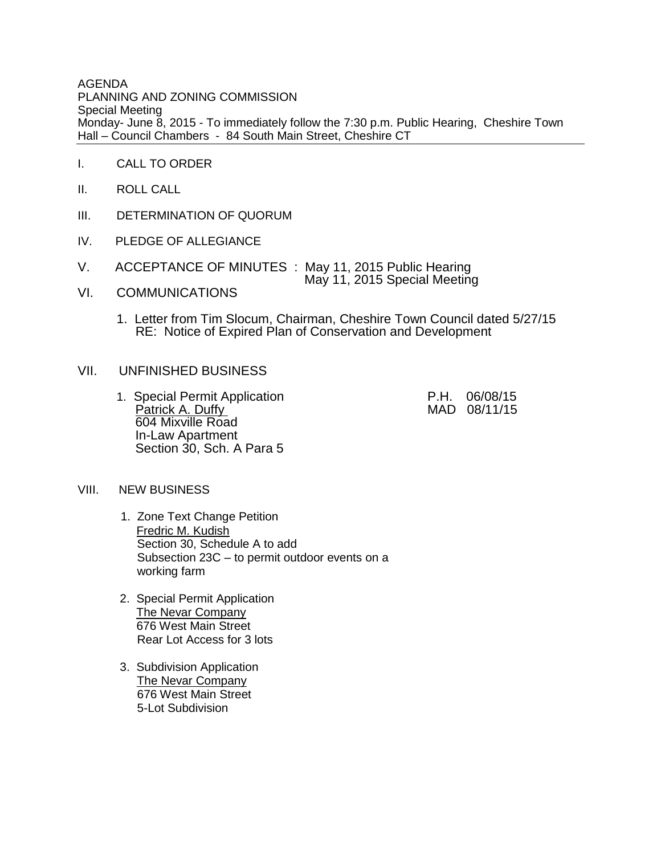AGENDA PLANNING AND ZONING COMMISSION Special Meeting Monday- June 8, 2015 - To immediately follow the 7:30 p.m. Public Hearing, Cheshire Town Hall – Council Chambers - 84 South Main Street, Cheshire CT

- I. CALL TO ORDER
- II. ROLL CALL
- III. DETERMINATION OF QUORUM
- IV. PLEDGE OF ALLEGIANCE
- V. ACCEPTANCE OF MINUTES : May 11, 2015 Public Hearing May 11, 2015 Special Meeting
- VI. COMMUNICATIONS
	- 1. Letter from Tim Slocum, Chairman, Cheshire Town Council dated 5/27/15 RE: Notice of Expired Plan of Conservation and Development
- VII. UNFINISHED BUSINESS
	- 1. Special Permit Application **P.H.** 06/08/15<br>Patrick A. Duffy **P.H. 06/08/11/15** Patrick A. Duffy 604 Mixville Road In-Law Apartment Section 30, Sch. A Para 5

## VIII. NEW BUSINESS

- 1. Zone Text Change Petition Fredric M. Kudish Section 30, Schedule A to add Subsection 23C – to permit outdoor events on a working farm
- 2. Special Permit Application The Nevar Company 676 West Main Street Rear Lot Access for 3 lots
- 3. Subdivision Application The Nevar Company 676 West Main Street 5-Lot Subdivision